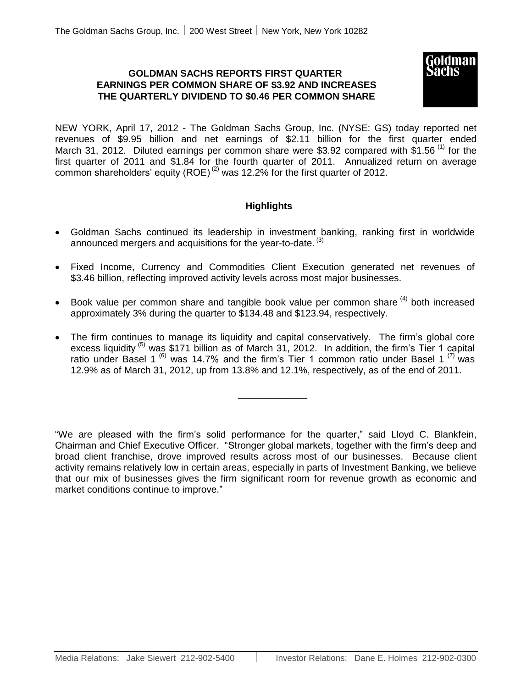## **GOLDMAN SACHS REPORTS FIRST QUARTER EARNINGS PER COMMON SHARE OF \$3.92 AND INCREASES THE QUARTERLY DIVIDEND TO \$0.46 PER COMMON SHARE**



NEW YORK, April 17, 2012 - The Goldman Sachs Group, Inc. (NYSE: GS) today reported net revenues of \$9.95 billion and net earnings of \$2.11 billion for the first quarter ended March 31, 2012. Diluted earnings per common share were \$3.92 compared with \$1.56<sup>(1)</sup> for the first quarter of 2011 and \$1.84 for the fourth quarter of 2011. Annualized return on average common shareholders' equity (ROE)<sup>(2)</sup> was 12.2% for the first quarter of 2012.

## **Highlights**

- Goldman Sachs continued its leadership in investment banking, ranking first in worldwide announced mergers and acquisitions for the year-to-date.  $(3)$
- Fixed Income, Currency and Commodities Client Execution generated net revenues of \$3.46 billion, reflecting improved activity levels across most major businesses.
- $\bullet$  Book value per common share and tangible book value per common share  $^{(4)}$  both increased approximately 3% during the quarter to \$134.48 and \$123.94, respectively.
- The firm continues to manage its liquidity and capital conservatively. The firm's global core excess liquidity  $<sup>(5)</sup>$  was \$171 billion as of March 31, 2012. In addition, the firm's Tier 1 capital</sup> ratio under Basel 1<sup>(6)</sup> was 14.7% and the firm's Tier 1 common ratio under Basel 1<sup>(7)</sup> was 12.9% as of March 31, 2012, up from 13.8% and 12.1%, respectively, as of the end of 2011.

\_\_\_\_\_\_\_\_\_\_\_\_\_

"We are pleased with the firm's solid performance for the quarter," said Lloyd C. Blankfein, Chairman and Chief Executive Officer. "Stronger global markets, together with the firm's deep and broad client franchise, drove improved results across most of our businesses. Because client activity remains relatively low in certain areas, especially in parts of Investment Banking, we believe that our mix of businesses gives the firm significant room for revenue growth as economic and market conditions continue to improve."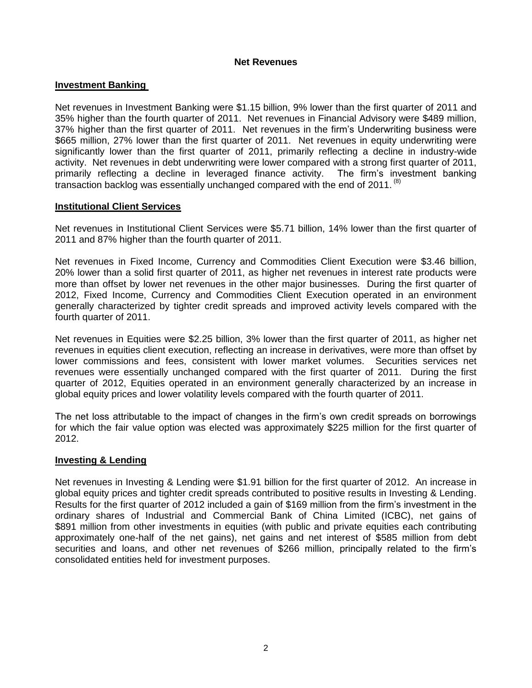### **Net Revenues**

## **Investment Banking**

Net revenues in Investment Banking were \$1.15 billion, 9% lower than the first quarter of 2011 and 35% higher than the fourth quarter of 2011. Net revenues in Financial Advisory were \$489 million, 37% higher than the first quarter of 2011. Net revenues in the firm's Underwriting business were \$665 million, 27% lower than the first quarter of 2011. Net revenues in equity underwriting were significantly lower than the first quarter of 2011, primarily reflecting a decline in industry-wide activity. Net revenues in debt underwriting were lower compared with a strong first quarter of 2011, primarily reflecting a decline in leveraged finance activity. The firm's investment banking transaction backlog was essentially unchanged compared with the end of 2011. <sup>(8)</sup>

## **Institutional Client Services**

Net revenues in Institutional Client Services were \$5.71 billion, 14% lower than the first quarter of 2011 and 87% higher than the fourth quarter of 2011.

Net revenues in Fixed Income, Currency and Commodities Client Execution were \$3.46 billion, 20% lower than a solid first quarter of 2011, as higher net revenues in interest rate products were more than offset by lower net revenues in the other major businesses. During the first quarter of 2012, Fixed Income, Currency and Commodities Client Execution operated in an environment generally characterized by tighter credit spreads and improved activity levels compared with the fourth quarter of 2011.

Net revenues in Equities were \$2.25 billion, 3% lower than the first quarter of 2011, as higher net revenues in equities client execution, reflecting an increase in derivatives, were more than offset by lower commissions and fees, consistent with lower market volumes. Securities services net revenues were essentially unchanged compared with the first quarter of 2011. During the first quarter of 2012, Equities operated in an environment generally characterized by an increase in global equity prices and lower volatility levels compared with the fourth quarter of 2011.

The net loss attributable to the impact of changes in the firm's own credit spreads on borrowings for which the fair value option was elected was approximately \$225 million for the first quarter of 2012.

#### **Investing & Lending**

Net revenues in Investing & Lending were \$1.91 billion for the first quarter of 2012. An increase in global equity prices and tighter credit spreads contributed to positive results in Investing & Lending. Results for the first quarter of 2012 included a gain of \$169 million from the firm's investment in the ordinary shares of Industrial and Commercial Bank of China Limited (ICBC), net gains of \$891 million from other investments in equities (with public and private equities each contributing approximately one-half of the net gains), net gains and net interest of \$585 million from debt securities and loans, and other net revenues of \$266 million, principally related to the firm's consolidated entities held for investment purposes.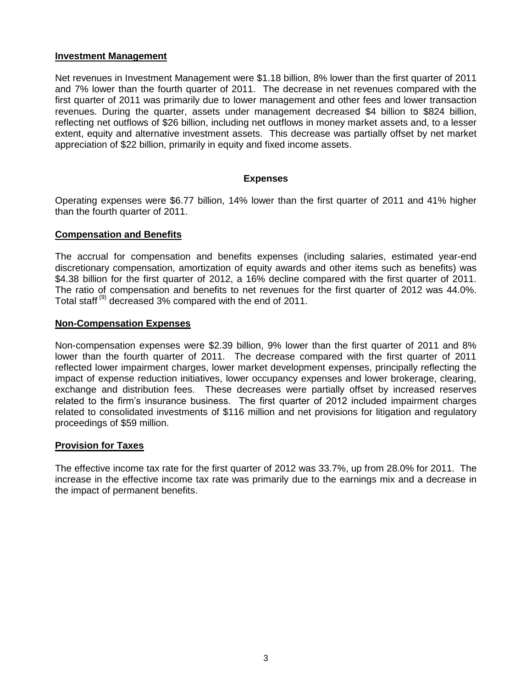#### **Investment Management**

Net revenues in Investment Management were \$1.18 billion, 8% lower than the first quarter of 2011 and 7% lower than the fourth quarter of 2011. The decrease in net revenues compared with the first quarter of 2011 was primarily due to lower management and other fees and lower transaction revenues. During the quarter, assets under management decreased \$4 billion to \$824 billion, reflecting net outflows of \$26 billion, including net outflows in money market assets and, to a lesser extent, equity and alternative investment assets. This decrease was partially offset by net market appreciation of \$22 billion, primarily in equity and fixed income assets.

## **Expenses**

Operating expenses were \$6.77 billion, 14% lower than the first quarter of 2011 and 41% higher than the fourth quarter of 2011.

#### **Compensation and Benefits**

The accrual for compensation and benefits expenses (including salaries, estimated year-end discretionary compensation, amortization of equity awards and other items such as benefits) was \$4.38 billion for the first quarter of 2012, a 16% decline compared with the first quarter of 2011. The ratio of compensation and benefits to net revenues for the first quarter of 2012 was 44.0%. Total staff<sup>(9)</sup> decreased 3% compared with the end of 2011.

#### **Non-Compensation Expenses**

Non-compensation expenses were \$2.39 billion, 9% lower than the first quarter of 2011 and 8% lower than the fourth quarter of 2011. The decrease compared with the first quarter of 2011 reflected lower impairment charges, lower market development expenses, principally reflecting the impact of expense reduction initiatives, lower occupancy expenses and lower brokerage, clearing, exchange and distribution fees. These decreases were partially offset by increased reserves related to the firm's insurance business. The first quarter of 2012 included impairment charges related to consolidated investments of \$116 million and net provisions for litigation and regulatory proceedings of \$59 million.

#### **Provision for Taxes**

The effective income tax rate for the first quarter of 2012 was 33.7%, up from 28.0% for 2011. The increase in the effective income tax rate was primarily due to the earnings mix and a decrease in the impact of permanent benefits.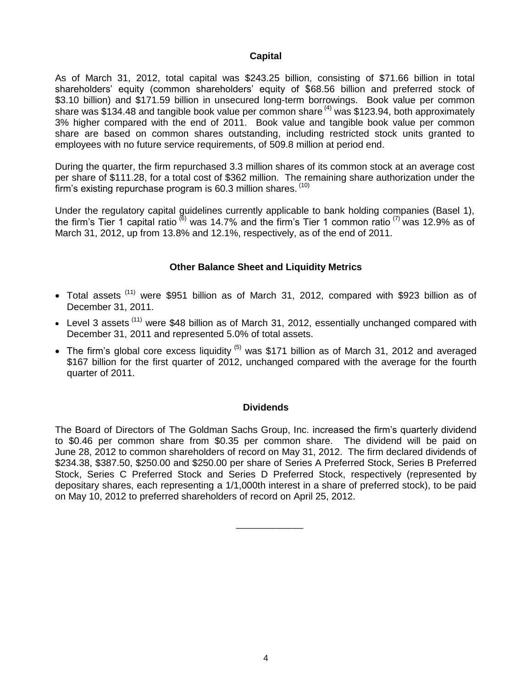#### **Capital**

As of March 31, 2012, total capital was \$243.25 billion, consisting of \$71.66 billion in total shareholders' equity (common shareholders' equity of \$68.56 billion and preferred stock of \$3.10 billion) and \$171.59 billion in unsecured long-term borrowings. Book value per common share was \$134.48 and tangible book value per common share  $^{(4)}$  was \$123.94, both approximately 3% higher compared with the end of 2011. Book value and tangible book value per common share are based on common shares outstanding, including restricted stock units granted to employees with no future service requirements, of 509.8 million at period end.

During the quarter, the firm repurchased 3.3 million shares of its common stock at an average cost per share of \$111.28, for a total cost of \$362 million. The remaining share authorization under the firm's existing repurchase program is 60.3 million shares. (10)

Under the regulatory capital guidelines currently applicable to bank holding companies (Basel 1), the firm's Tier 1 capital ratio  $^{(6)}$  was 14.7% and the firm's Tier 1 common ratio  $^{(7)}$  was 12.9% as of March 31, 2012, up from 13.8% and 12.1%, respectively, as of the end of 2011.

## **Other Balance Sheet and Liquidity Metrics**

- $\bullet$  Total assets  $(11)$  were \$951 billion as of March 31, 2012, compared with \$923 billion as of December 31, 2011.
- Level 3 assets  $(11)$  were \$48 billion as of March 31, 2012, essentially unchanged compared with December 31, 2011 and represented 5.0% of total assets.
- The firm's global core excess liquidity  $(5)$  was \$171 billion as of March 31, 2012 and averaged \$167 billion for the first quarter of 2012, unchanged compared with the average for the fourth quarter of 2011.

#### **Dividends**

The Board of Directors of The Goldman Sachs Group, Inc. increased the firm's quarterly dividend to \$0.46 per common share from \$0.35 per common share. The dividend will be paid on June 28, 2012 to common shareholders of record on May 31, 2012. The firm declared dividends of \$234.38, \$387.50, \$250.00 and \$250.00 per share of Series A Preferred Stock, Series B Preferred Stock, Series C Preferred Stock and Series D Preferred Stock, respectively (represented by depositary shares, each representing a 1/1,000th interest in a share of preferred stock), to be paid on May 10, 2012 to preferred shareholders of record on April 25, 2012.

\_\_\_\_\_\_\_\_\_\_\_\_\_\_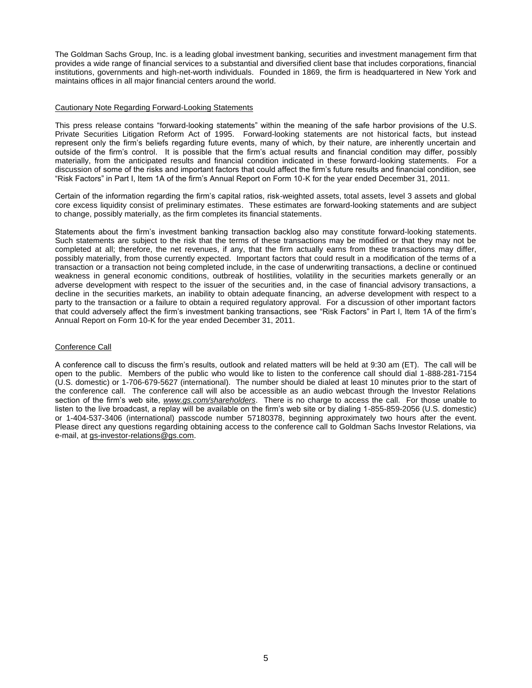The Goldman Sachs Group, Inc. is a leading global investment banking, securities and investment management firm that provides a wide range of financial services to a substantial and diversified client base that includes corporations, financial institutions, governments and high-net-worth individuals. Founded in 1869, the firm is headquartered in New York and maintains offices in all major financial centers around the world.

#### Cautionary Note Regarding Forward-Looking Statements

This press release contains "forward-looking statements" within the meaning of the safe harbor provisions of the U.S. Private Securities Litigation Reform Act of 1995. Forward-looking statements are not historical facts, but instead represent only the firm's beliefs regarding future events, many of which, by their nature, are inherently uncertain and outside of the firm's control. It is possible that the firm's actual results and financial condition may differ, possibly materially, from the anticipated results and financial condition indicated in these forward-looking statements. For a discussion of some of the risks and important factors that could affect the firm's future results and financial condition, see "Risk Factors" in Part I, Item 1A of the firm's Annual Report on Form 10-K for the year ended December 31, 2011.

Certain of the information regarding the firm's capital ratios, risk-weighted assets, total assets, level 3 assets and global core excess liquidity consist of preliminary estimates. These estimates are forward-looking statements and are subject to change, possibly materially, as the firm completes its financial statements.

Statements about the firm's investment banking transaction backlog also may constitute forward-looking statements. Such statements are subject to the risk that the terms of these transactions may be modified or that they may not be completed at all; therefore, the net revenues, if any, that the firm actually earns from these transactions may differ, possibly materially, from those currently expected. Important factors that could result in a modification of the terms of a transaction or a transaction not being completed include, in the case of underwriting transactions, a decline or continued weakness in general economic conditions, outbreak of hostilities, volatility in the securities markets generally or an adverse development with respect to the issuer of the securities and, in the case of financial advisory transactions, a decline in the securities markets, an inability to obtain adequate financing, an adverse development with respect to a party to the transaction or a failure to obtain a required regulatory approval. For a discussion of other important factors that could adversely affect the firm's investment banking transactions, see "Risk Factors" in Part I, Item 1A of the firm's Annual Report on Form 10-K for the year ended December 31, 2011.

#### Conference Call

A conference call to discuss the firm's results, outlook and related matters will be held at 9:30 am (ET). The call will be open to the public. Members of the public who would like to listen to the conference call should dial 1-888-281-7154 (U.S. domestic) or 1-706-679-5627 (international). The number should be dialed at least 10 minutes prior to the start of the conference call. The conference call will also be accessible as an audio webcast through the Investor Relations section of the firm's web site, *www.gs.com/shareholders*. There is no charge to access the call. For those unable to listen to the live broadcast, a replay will be available on the firm's web site or by dialing 1-855-859-2056 (U.S. domestic) or 1-404-537-3406 (international) passcode number 57180378, beginning approximately two hours after the event. Please direct any questions regarding obtaining access to the conference call to Goldman Sachs Investor Relations, via e-mail, at gs-investor-relations@gs.com.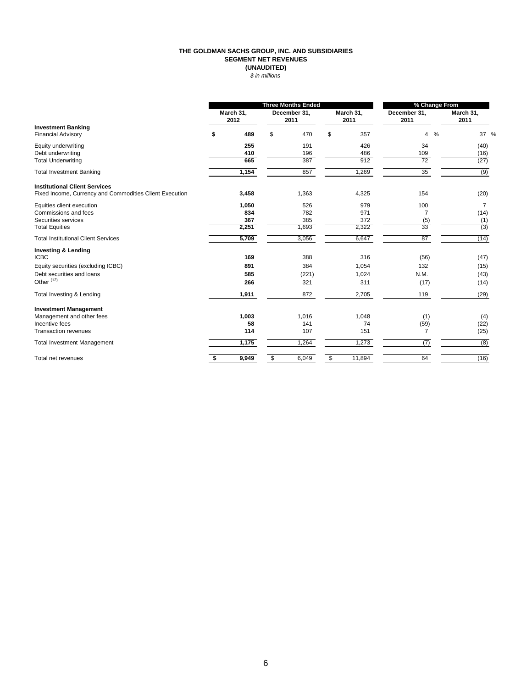#### **THE GOLDMAN SACHS GROUP, INC. AND SUBSIDIARIES SEGMENT NET REVENUES (UNAUDITED)** *\$ in millions*

|                                                         | <b>Three Months Ended</b> |                   |    | % Change From        |                   |                      |                   |
|---------------------------------------------------------|---------------------------|-------------------|----|----------------------|-------------------|----------------------|-------------------|
|                                                         |                           | March 31,<br>2012 |    | December 31,<br>2011 | March 31,<br>2011 | December 31,<br>2011 | March 31,<br>2011 |
| <b>Investment Banking</b><br><b>Financial Advisory</b>  | \$                        | 489               | \$ | 470                  | \$<br>357         | $\overline{4}$       | %<br>37 %         |
| Equity underwriting                                     |                           | 255               |    | 191                  | 426               | 34                   | (40)              |
| Debt underwriting                                       |                           | 410               |    | 196                  | 486               | 109                  | (16)              |
| <b>Total Underwriting</b>                               |                           | 665               |    | 387                  | 912               | 72                   | (27)              |
| <b>Total Investment Banking</b>                         |                           | 1,154             |    | 857                  | 1,269             | 35                   | (9)               |
| <b>Institutional Client Services</b>                    |                           |                   |    |                      |                   |                      |                   |
| Fixed Income, Currency and Commodities Client Execution |                           | 3,458             |    | 1,363                | 4,325             | 154                  | (20)              |
| Equities client execution                               |                           | 1,050             |    | 526                  | 979               | 100                  | 7                 |
| Commissions and fees                                    |                           | 834               |    | 782                  | 971               | $\overline{7}$       | (14)              |
| Securities services                                     |                           | 367               |    | 385                  | 372               | (5)                  | (1)               |
| <b>Total Equities</b>                                   |                           | 2,251             |    | 1,693                | 2,322             | 33                   | (3)               |
| <b>Total Institutional Client Services</b>              |                           | 5,709             |    | 3,056                | 6,647             | 87                   | (14)              |
| <b>Investing &amp; Lending</b>                          |                           |                   |    |                      |                   |                      |                   |
| <b>ICBC</b>                                             |                           | 169               |    | 388                  | 316               | (56)                 | (47)              |
| Equity securities (excluding ICBC)                      |                           | 891               |    | 384                  | 1,054             | 132                  | (15)              |
| Debt securities and loans                               |                           | 585               |    | (221)                | 1,024             | N.M.                 | (43)              |
| Other $(12)$                                            |                           | 266               |    | 321                  | 311               | (17)                 | (14)              |
| Total Investing & Lending                               |                           | 1,911             |    | 872                  | 2,705             | 119                  | (29)              |
| <b>Investment Management</b>                            |                           |                   |    |                      |                   |                      |                   |
| Management and other fees                               |                           | 1,003             |    | 1,016                | 1,048             | (1)                  | (4)               |
| Incentive fees                                          |                           | 58                |    | 141                  | 74                | (59)                 | (22)              |
| <b>Transaction revenues</b>                             |                           | 114               |    | 107                  | 151               | 7                    | (25)              |
| <b>Total Investment Management</b>                      |                           | 1,175             |    | 1,264                | 1,273             | (7)                  | (8)               |
| Total net revenues                                      |                           | 9,949             | \$ | 6,049                | \$<br>11,894      | 64                   | (16)              |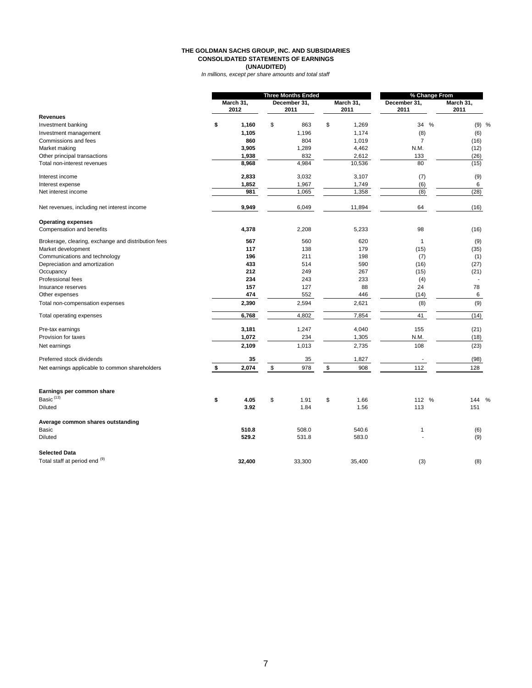#### **THE GOLDMAN SACHS GROUP, INC. AND SUBSIDIARIES CONSOLIDATED STATEMENTS OF EARNINGS (UNAUDITED)**

*In millions, except per share amounts and total staff*

|                                                     |           | <b>Three Months Ended</b> |    |              |    |           | % Change From  |              |   |
|-----------------------------------------------------|-----------|---------------------------|----|--------------|----|-----------|----------------|--------------|---|
|                                                     | March 31, |                           |    | December 31, |    | March 31, | December 31,   | March 31,    |   |
|                                                     |           | 2012                      |    | 2011         |    | 2011      | 2011           | 2011         |   |
| <b>Revenues</b>                                     |           |                           |    |              |    |           |                |              |   |
| Investment banking                                  | \$        | 1,160                     | \$ | 863          | \$ | 1,269     | 34             | %<br>$(9)$ % |   |
| Investment management                               |           | 1,105                     |    | 1,196        |    | 1,174     | (8)            | (6)          |   |
| Commissions and fees                                |           | 860                       |    | 804          |    | 1,019     | $\overline{7}$ | (16)         |   |
| Market making                                       |           | 3,905                     |    | 1,289        |    | 4,462     | N.M.           | (12)         |   |
| Other principal transactions                        |           | 1,938                     |    | 832          |    | 2,612     | 133            | (26)         |   |
| Total non-interest revenues                         |           | 8,968                     |    | 4,984        |    | 10,536    | 80             | (15)         |   |
| Interest income                                     |           | 2,833                     |    | 3,032        |    | 3,107     | (7)            | (9)          |   |
| Interest expense                                    |           | 1,852                     |    | 1,967        |    | 1,749     | (6)            | 6            |   |
| Net interest income                                 |           | 981                       |    | 1,065        |    | 1,358     | (8)            | (28)         |   |
| Net revenues, including net interest income         |           | 9,949                     |    | 6,049        |    | 11,894    | 64             | (16)         |   |
| <b>Operating expenses</b>                           |           |                           |    |              |    |           |                |              |   |
| Compensation and benefits                           |           | 4,378                     |    | 2,208        |    | 5,233     | 98             | (16)         |   |
| Brokerage, clearing, exchange and distribution fees |           | 567                       |    | 560          |    | 620       | $\mathbf{1}$   | (9)          |   |
| Market development                                  |           | 117                       |    | 138          |    | 179       | (15)           | (35)         |   |
| Communications and technology                       |           | 196                       |    | 211          |    | 198       | (7)            | (1)          |   |
| Depreciation and amortization                       |           | 433                       |    | 514          |    | 590       | (16)           | (27)         |   |
| Occupancy                                           |           | 212                       |    | 249          |    | 267       | (15)           | (21)         |   |
| Professional fees                                   |           | 234                       |    | 243          |    | 233       | (4)            |              |   |
| Insurance reserves                                  |           | 157                       |    | 127          |    | 88        | 24             | 78           |   |
| Other expenses                                      |           | 474                       |    | 552          |    | 446       | (14)           | 6            |   |
| Total non-compensation expenses                     |           | 2,390                     |    | 2,594        |    | 2,621     | (8)            | (9)          |   |
| Total operating expenses                            |           | 6,768                     |    | 4,802        |    | 7,854     | 41             | (14)         |   |
| Pre-tax earnings                                    |           | 3,181                     |    | 1,247        |    | 4,040     | 155            | (21)         |   |
| Provision for taxes                                 |           | 1,072                     |    | 234          |    | 1,305     | N.M.           | (18)         |   |
| Net earnings                                        |           | 2,109                     |    | 1,013        |    | 2,735     | 108            | (23)         |   |
| Preferred stock dividends                           |           | 35                        |    | 35           |    | 1,827     |                | (98)         |   |
| Net earnings applicable to common shareholders      | \$        | 2,074                     | \$ | 978          | \$ | 908       | 112            | 128          |   |
| Earnings per common share                           |           |                           |    |              |    |           |                |              |   |
| Basic <sup>(13)</sup>                               | \$        | 4.05                      | \$ | 1.91         | \$ | 1.66      | 112 %          | 144          | % |
| <b>Diluted</b>                                      |           | 3.92                      |    | 1.84         |    | 1.56      | 113            | 151          |   |
| Average common shares outstanding                   |           |                           |    |              |    |           |                |              |   |
| Basic                                               |           | 510.8                     |    | 508.0        |    | 540.6     | 1              | (6)          |   |
| Diluted                                             |           | 529.2                     |    | 531.8        |    | 583.0     |                | (9)          |   |
| <b>Selected Data</b>                                |           |                           |    |              |    |           |                |              |   |
| Total staff at period end (9)                       |           | 32,400                    |    | 33,300       |    | 35,400    | (3)            | (8)          |   |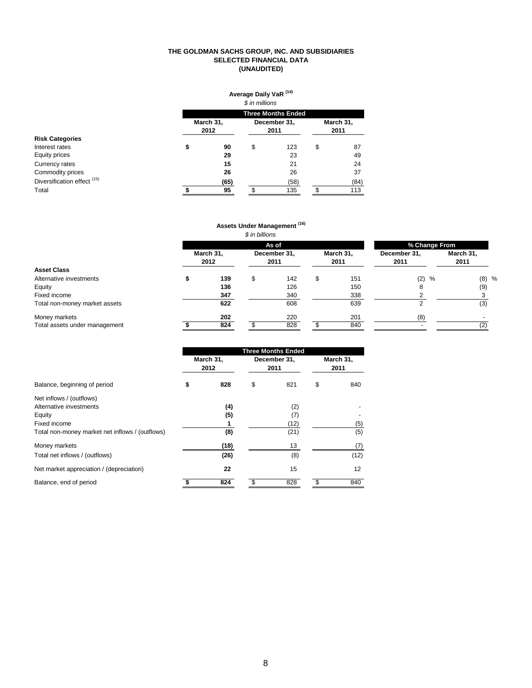#### **THE GOLDMAN SACHS GROUP, INC. AND SUBSIDIARIES SELECTED FINANCIAL DATA (UNAUDITED)**

|                                        |                           | Average Daily VaR <sup>(14)</sup><br>\$ in millions |                      |    |                   |  |  |
|----------------------------------------|---------------------------|-----------------------------------------------------|----------------------|----|-------------------|--|--|
|                                        | <b>Three Months Ended</b> |                                                     |                      |    |                   |  |  |
|                                        | March 31,<br>2012         |                                                     | December 31,<br>2011 |    | March 31,<br>2011 |  |  |
| <b>Risk Categories</b>                 |                           |                                                     |                      |    |                   |  |  |
| Interest rates                         | \$<br>90                  | \$                                                  | 123                  | \$ | 87                |  |  |
| Equity prices                          | 29                        |                                                     | 23                   |    | 49                |  |  |
| Currency rates                         | 15                        |                                                     | 21                   |    | 24                |  |  |
| Commodity prices                       | 26                        |                                                     | 26                   |    | 37                |  |  |
| Diversification effect <sup>(15)</sup> | (65)                      |                                                     | (58)                 |    | (84)              |  |  |
| Total                                  | 95                        | ≏                                                   | 135                  | σ  | 113               |  |  |

# **Assets Under Management (16)**

*\$ in billions*

|                               |                   |  | As of                | % Change From |                   |                      |         |                   |
|-------------------------------|-------------------|--|----------------------|---------------|-------------------|----------------------|---------|-------------------|
|                               | March 31,<br>2012 |  | December 31,<br>2011 |               | March 31,<br>2011 | December 31,<br>2011 |         | March 31,<br>2011 |
| <b>Asset Class</b>            |                   |  |                      |               |                   |                      |         |                   |
| Alternative investments       | 139               |  | 142                  |               | 151               |                      | $(2)$ % | $(8)$ %           |
| Equity                        | 136               |  | 126                  |               | 150               | 8                    |         | (9)               |
| Fixed income                  | 347               |  | 340                  |               | 338               |                      |         |                   |
| Total non-money market assets | 622               |  | 608                  |               | 639               |                      |         | (3)               |
| Money markets                 | 202               |  | 220                  |               | 201               | (8)                  |         |                   |
| Total assets under management | 824               |  | 828                  |               | 840               |                      |         |                   |

|                                                                                                                                  |                   |                   |                      | <b>Three Months Ended</b>  |                   |             |
|----------------------------------------------------------------------------------------------------------------------------------|-------------------|-------------------|----------------------|----------------------------|-------------------|-------------|
|                                                                                                                                  | March 31,<br>2012 |                   | December 31,<br>2011 |                            | March 31,<br>2011 |             |
| Balance, beginning of period                                                                                                     | \$                | 828               | \$                   | 821                        | \$                | 840         |
| Net inflows / (outflows)<br>Alternative investments<br>Equity<br>Fixed income<br>Total non-money market net inflows / (outflows) |                   | (4)<br>(5)<br>(8) |                      | (2)<br>(7)<br>(12)<br>(21) |                   | (5)<br>(5)  |
| Money markets<br>Total net inflows / (outflows)                                                                                  |                   | (18)<br>(26)      |                      | 13<br>(8)                  |                   | (7)<br>(12) |
| Net market appreciation / (depreciation)                                                                                         |                   | 22                |                      | 15                         |                   | 12          |
| Balance, end of period                                                                                                           |                   | 824               |                      | 828                        |                   | 840         |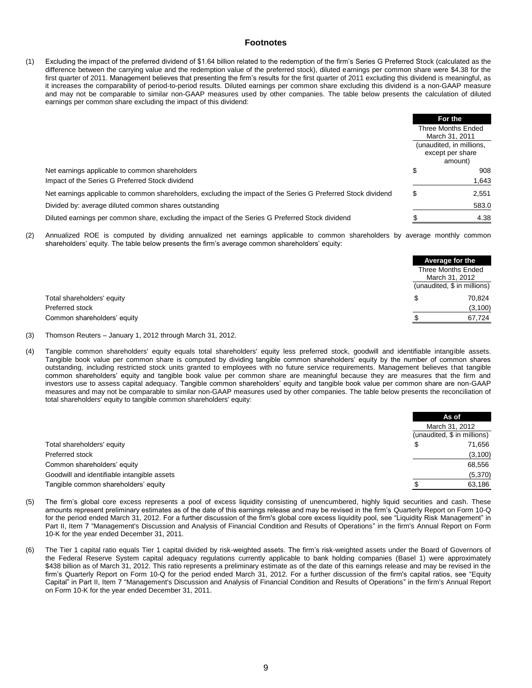#### **Footnotes**

(1) Excluding the impact of the preferred dividend of \$1.64 billion related to the redemption of the firm's Series G Preferred Stock (calculated as the difference between the carrying value and the redemption value of the preferred stock), diluted earnings per common share were \$4.38 for the first quarter of 2011. Management believes that presenting the firm's results for the first quarter of 2011 excluding this dividend is meaningful, as it increases the comparability of period-to-period results. Diluted earnings per common share excluding this dividend is a non-GAAP measure and may not be comparable to similar non-GAAP measures used by other companies. The table below presents the calculation of diluted earnings per common share excluding the impact of this dividend:

|                                                                                                               | For the<br><b>Three Months Ended</b><br>March 31, 2011<br>(unaudited, in millions,<br>except per share<br>amount) |
|---------------------------------------------------------------------------------------------------------------|-------------------------------------------------------------------------------------------------------------------|
| Net earnings applicable to common shareholders                                                                | \$<br>908                                                                                                         |
| Impact of the Series G Preferred Stock dividend                                                               | 1,643                                                                                                             |
| Net earnings applicable to common shareholders, excluding the impact of the Series G Preferred Stock dividend | \$<br>2,551                                                                                                       |
| Divided by: average diluted common shares outstanding                                                         | 583.0                                                                                                             |
| Diluted earnings per common share, excluding the impact of the Series G Preferred Stock dividend              | 4.38                                                                                                              |

(2) Annualized ROE is computed by dividing annualized net earnings applicable to common shareholders by average monthly common shareholders' equity. The table below presents the firm's average common shareholders' equity:

|                             | Average for the                      |
|-----------------------------|--------------------------------------|
|                             | Three Months Ended<br>March 31, 2012 |
|                             | (unaudited, \$ in millions)          |
| Total shareholders' equity  | \$<br>70.824                         |
| Preferred stock             | (3, 100)                             |
| Common shareholders' equity | 67.724                               |

- (3) Thomson Reuters January 1, 2012 through March 31, 2012.
- (4) Tangible common shareholders' equity equals total shareholders' equity less preferred stock, goodwill and identifiable intangible assets. Tangible book value per common share is computed by dividing tangible common shareholders' equity by the number of common shares outstanding, including restricted stock units granted to employees with no future service requirements. Management believes that tangible common shareholders' equity and tangible book value per common share are meaningful because they are measures that the firm and investors use to assess capital adequacy. Tangible common shareholders' equity and tangible book value per common share are non-GAAP measures and may not be comparable to similar non-GAAP measures used by other companies. The table below presents the reconciliation of total shareholders' equity to tangible common shareholders' equity:

|                                             | As of                       |
|---------------------------------------------|-----------------------------|
|                                             | March 31, 2012              |
|                                             | (unaudited, \$ in millions) |
| Total shareholders' equity                  | 71.656<br>\$                |
| Preferred stock                             | (3, 100)                    |
| Common shareholders' equity                 | 68,556                      |
| Goodwill and identifiable intangible assets | (5,370)                     |
| Tangible common shareholders' equity        | 63,186                      |

- (5) The firm's global core excess represents a pool of excess liquidity consisting of unencumbered, highly liquid securities and cash. These amounts represent preliminary estimates as of the date of this earnings release and may be revised in the firm's Quarterly Report on Form 10-Q for the period ended March 31, 2012. For a further discussion of the firm's global core excess liquidity pool, see "Liquidity Risk Management" in Part II, Item 7 "Management's Discussion and Analysis of Financial Condition and Results of Operations" in the firm's Annual Report on Form 10-K for the year ended December 31, 2011.
- (6) The Tier 1 capital ratio equals Tier 1 capital divided by risk-weighted assets. The firm's risk-weighted assets under the Board of Governors of the Federal Reserve System capital adequacy regulations currently applicable to bank holding companies (Basel 1) were approximately \$438 billion as of March 31, 2012. This ratio represents a preliminary estimate as of the date of this earnings release and may be revised in the firm's Quarterly Report on Form 10-Q for the period ended March 31, 2012. For a further discussion of the firm's capital ratios, see "Equity Capital" in Part II, Item 7 "Management's Discussion and Analysis of Financial Condition and Results of Operations" in the firm's Annual Report on Form 10-K for the year ended December 31, 2011.